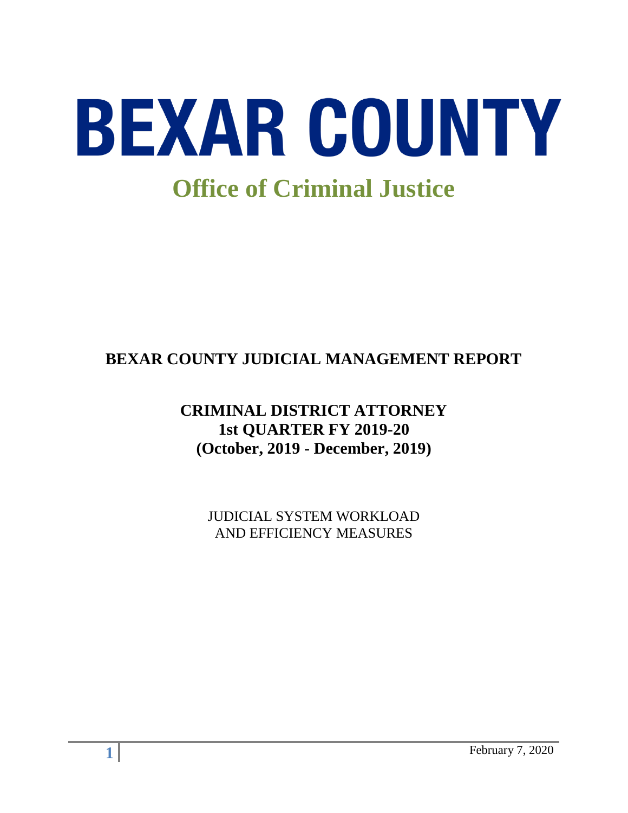

# **BEXAR COUNTY JUDICIAL MANAGEMENT REPORT**

# **CRIMINAL DISTRICT ATTORNEY 1st QUARTER FY 2019-20 (October, 2019 - December, 2019)**

JUDICIAL SYSTEM WORKLOAD AND EFFICIENCY MEASURES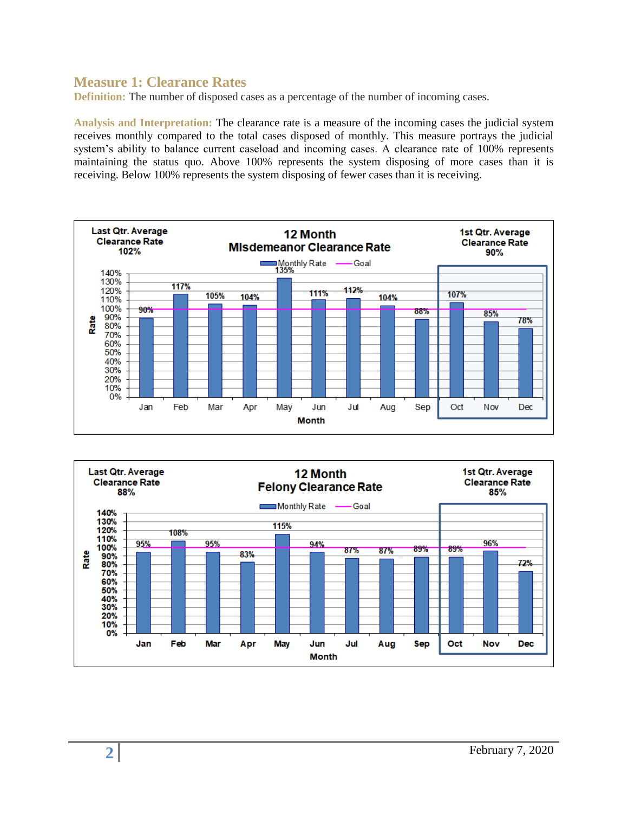#### **Measure 1: Clearance Rates**

**Definition:** The number of disposed cases as a percentage of the number of incoming cases.

**Analysis and Interpretation:** The clearance rate is a measure of the incoming cases the judicial system receives monthly compared to the total cases disposed of monthly. This measure portrays the judicial system's ability to balance current caseload and incoming cases. A clearance rate of 100% represents maintaining the status quo. Above 100% represents the system disposing of more cases than it is receiving. Below 100% represents the system disposing of fewer cases than it is receiving.



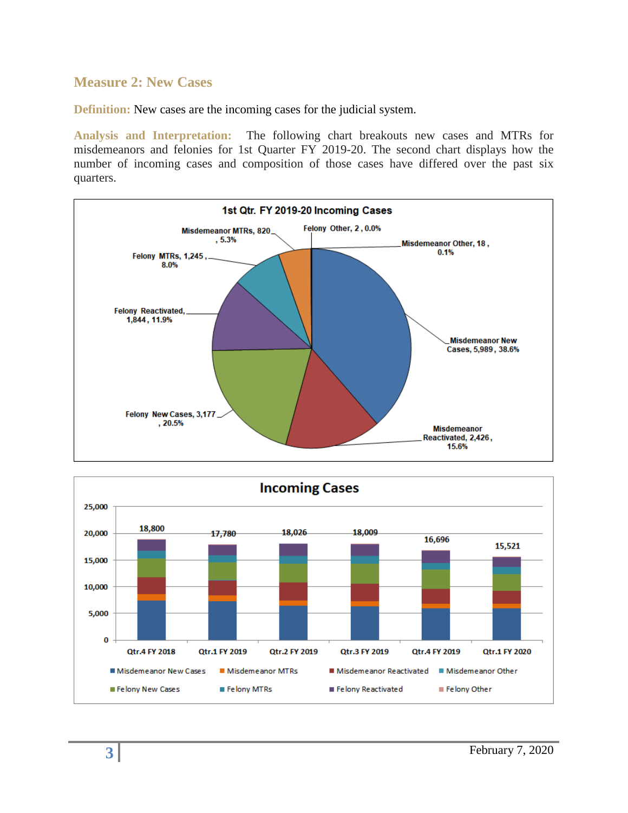#### **Measure 2: New Cases**

**Definition:** New cases are the incoming cases for the judicial system.

**Analysis and Interpretation:** The following chart breakouts new cases and MTRs for misdemeanors and felonies for 1st Quarter FY 2019-20. The second chart displays how the number of incoming cases and composition of those cases have differed over the past six quarters.



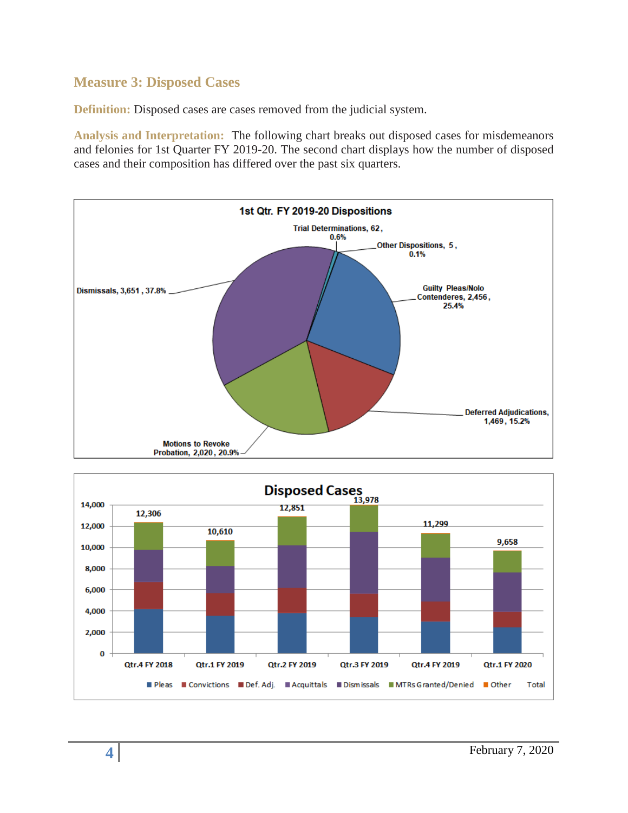### **Measure 3: Disposed Cases**

**Definition:** Disposed cases are cases removed from the judicial system.

**Analysis and Interpretation:** The following chart breaks out disposed cases for misdemeanors and felonies for 1st Quarter FY 2019-20. The second chart displays how the number of disposed cases and their composition has differed over the past six quarters.



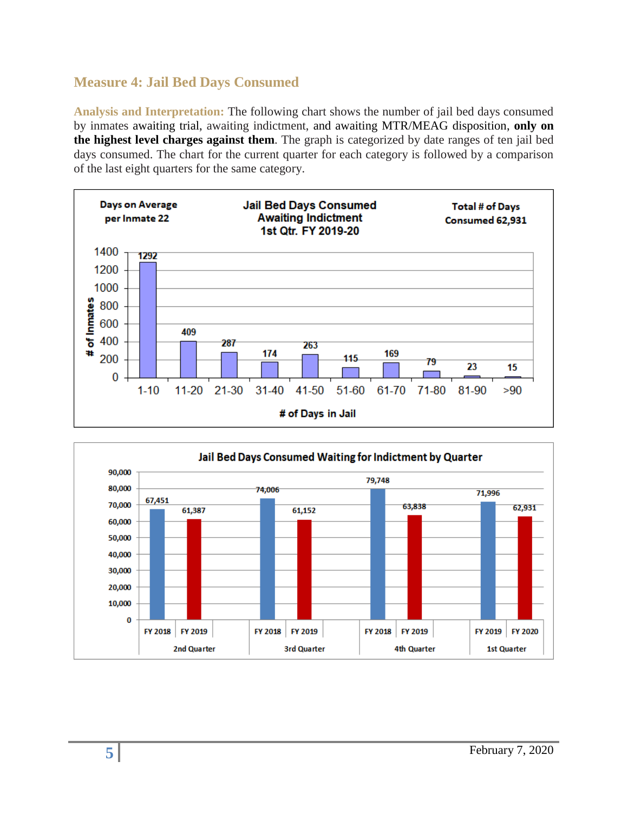# **Measure 4: Jail Bed Days Consumed**

**Analysis and Interpretation:** The following chart shows the number of jail bed days consumed by inmates awaiting trial, awaiting indictment, and awaiting MTR/MEAG disposition, **only on the highest level charges against them**. The graph is categorized by date ranges of ten jail bed days consumed. The chart for the current quarter for each category is followed by a comparison of the last eight quarters for the same category.



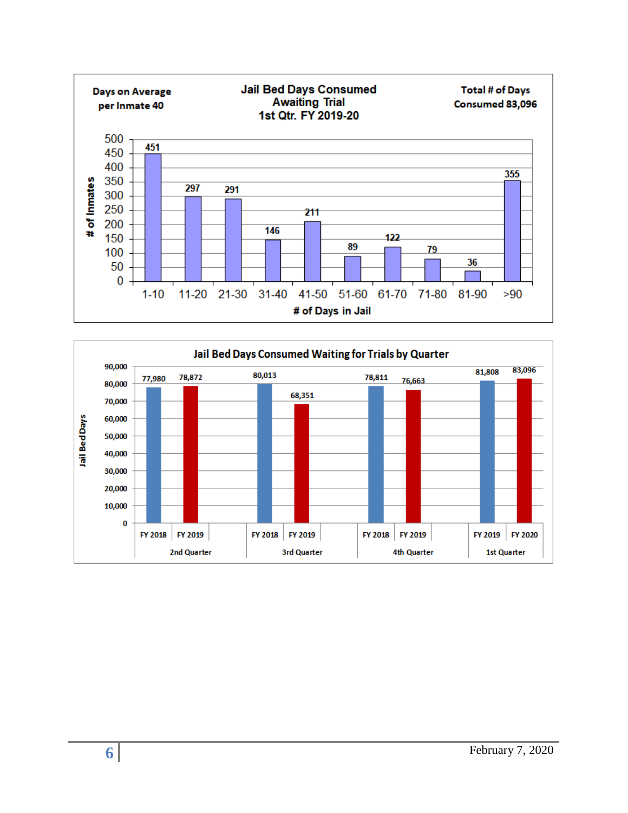

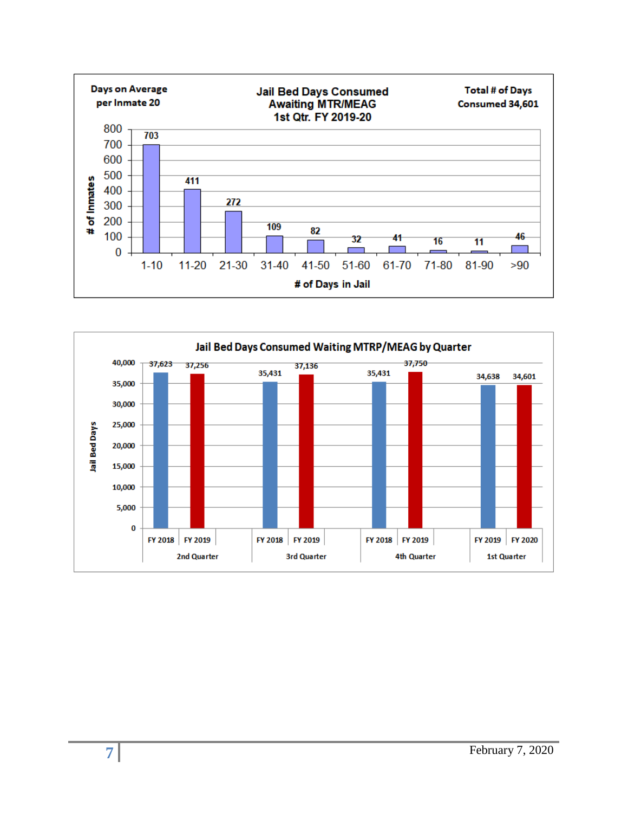

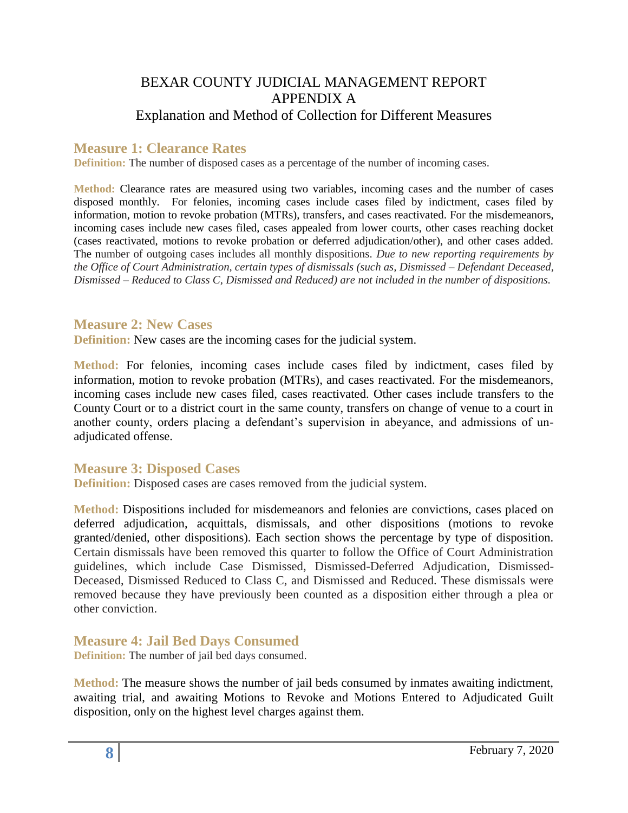### BEXAR COUNTY JUDICIAL MANAGEMENT REPORT APPENDIX A Explanation and Method of Collection for Different Measures

### **Measure 1: Clearance Rates**

**Definition:** The number of disposed cases as a percentage of the number of incoming cases.

**Method:** Clearance rates are measured using two variables, incoming cases and the number of cases disposed monthly. For felonies, incoming cases include cases filed by indictment, cases filed by information, motion to revoke probation (MTRs), transfers, and cases reactivated. For the misdemeanors, incoming cases include new cases filed, cases appealed from lower courts, other cases reaching docket (cases reactivated, motions to revoke probation or deferred adjudication/other), and other cases added. The number of outgoing cases includes all monthly dispositions. *Due to new reporting requirements by the Office of Court Administration, certain types of dismissals (such as, Dismissed – Defendant Deceased, Dismissed – Reduced to Class C, Dismissed and Reduced) are not included in the number of dispositions.*

#### **Measure 2: New Cases**

**Definition:** New cases are the incoming cases for the judicial system.

**Method:** For felonies, incoming cases include cases filed by indictment, cases filed by information, motion to revoke probation (MTRs), and cases reactivated. For the misdemeanors, incoming cases include new cases filed, cases reactivated. Other cases include transfers to the County Court or to a district court in the same county, transfers on change of venue to a court in another county, orders placing a defendant's supervision in abeyance, and admissions of unadjudicated offense.

#### **Measure 3: Disposed Cases**

**Definition:** Disposed cases are cases removed from the judicial system.

**Method:** Dispositions included for misdemeanors and felonies are convictions, cases placed on deferred adjudication, acquittals, dismissals, and other dispositions (motions to revoke granted/denied, other dispositions). Each section shows the percentage by type of disposition. Certain dismissals have been removed this quarter to follow the Office of Court Administration guidelines, which include Case Dismissed, Dismissed-Deferred Adjudication, Dismissed-Deceased, Dismissed Reduced to Class C, and Dismissed and Reduced. These dismissals were removed because they have previously been counted as a disposition either through a plea or other conviction.

**Measure 4: Jail Bed Days Consumed** 

**Definition:** The number of jail bed days consumed.

**Method:** The measure shows the number of jail beds consumed by inmates awaiting indictment, awaiting trial, and awaiting Motions to Revoke and Motions Entered to Adjudicated Guilt disposition, only on the highest level charges against them.